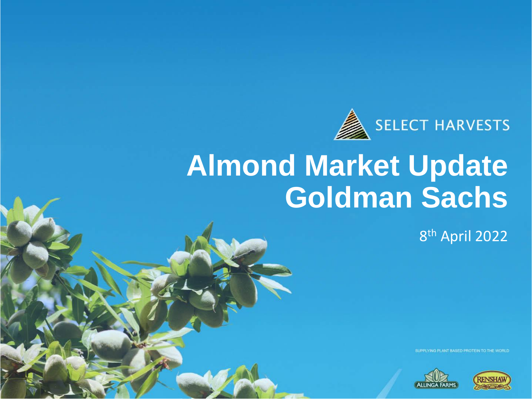

### **Almond Market Update Goldman Sachs**

8 th April 2022

SUPPLYING PLANT BASED PROTEIN TO THE WORLD



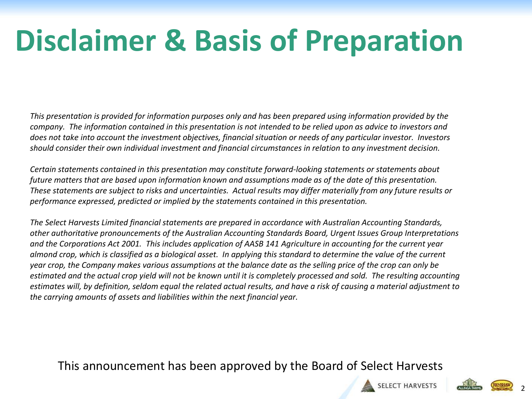## **Disclaimer & Basis of Preparation**

*This presentation is provided for information purposes only and has been prepared using information provided by the company. The information contained in this presentation is not intended to be relied upon as advice to investors and does not take into account the investment objectives, financial situation or needs of any particular investor. Investors should consider their own individual investment and financial circumstances in relation to any investment decision.* 

Certain statements contained in this presentation may constitute forward-looking statements or statements about<br>future matters that are based upon information known and assumptions made as of the date of this presentation. *Certain statements contained in this presentation may constitute forward-looking statements or statements about These statements are subject to risks and uncertainties. Actual results may differ materially from any future results or performance expressed, predicted or implied by the statements contained in this presentation.*

*The Select Harvests Limited financial statements are prepared in accordance with Australian Accounting Standards, other authoritative pronouncements of the Australian Accounting Standards Board, Urgent Issues Group Interpretations and the Corporations Act 2001. This includes application of AASB 141 Agriculture in accounting for the current year almond crop, which is classified as a biological asset. In applying this standard to determine the value of the current year crop, the Company makes various assumptions at the balance date as the selling price of the crop can only be estimated and the actual crop yield will not be known until it is completely processed and sold. The resulting accounting estimates will, by definition, seldom equal the related actual results, and have a risk of causing a material adjustment to the carrying amounts of assets and liabilities within the next financial year.*

This announcement has been approved by the Board of Select Harvests





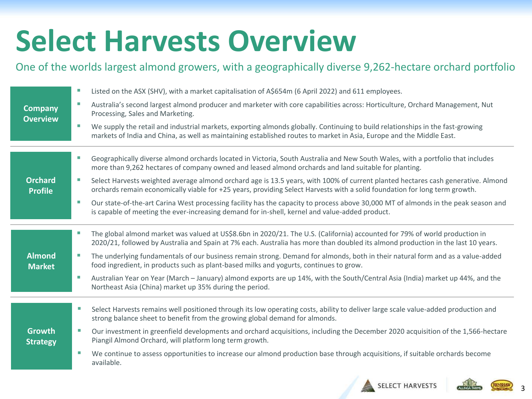## **Select Harvests Overview**

#### One of the worlds largest almond growers, with a geographically diverse 9,262-hectare orchard portfolio

| <b>Company</b><br><b>Overview</b> | Listed on the ASX (SHV), with a market capitalisation of A\$654m (6 April 2022) and 611 employees.                                                                                                                                                              |
|-----------------------------------|-----------------------------------------------------------------------------------------------------------------------------------------------------------------------------------------------------------------------------------------------------------------|
|                                   | Australia's second largest almond producer and marketer with core capabilities across: Horticulture, Orchard Management, Nut<br>Processing, Sales and Marketing.                                                                                                |
|                                   | We supply the retail and industrial markets, exporting almonds globally. Continuing to build relationships in the fast-growing<br>markets of India and China, as well as maintaining established routes to market in Asia, Europe and the Middle East.          |
|                                   | Geographically diverse almond orchards located in Victoria, South Australia and New South Wales, with a portfolio that includes<br>more than 9,262 hectares of company owned and leased almond orchards and land suitable for planting.                         |
| <b>Orchard</b><br><b>Profile</b>  | Select Harvests weighted average almond orchard age is 13.5 years, with 100% of current planted hectares cash generative. Almond<br>orchards remain economically viable for +25 years, providing Select Harvests with a solid foundation for long term growth.  |
|                                   | Our state-of-the-art Carina West processing facility has the capacity to process above 30,000 MT of almonds in the peak season and<br>is capable of meeting the ever-increasing demand for in-shell, kernel and value-added product.                            |
|                                   | The global almond market was valued at US\$8.6bn in 2020/21. The U.S. (California) accounted for 79% of world production in<br>2020/21, followed by Australia and Spain at 7% each. Australia has more than doubled its almond production in the last 10 years. |
| <b>Almond</b><br><b>Market</b>    | The underlying fundamentals of our business remain strong. Demand for almonds, both in their natural form and as a value-added<br>food ingredient, in products such as plant-based milks and yogurts, continues to grow.                                        |
|                                   | Australian Year on Year (March - January) almond exports are up 14%, with the South/Central Asia (India) market up 44%, and the<br>Northeast Asia (China) market up 35% during the period.                                                                      |
|                                   | Select Harvests remains well positioned through its low operating costs, ability to deliver large scale value-added production and<br>strong balance sheet to benefit from the growing global demand for almonds.                                               |
| <b>Growth</b><br><b>Strategy</b>  | Our investment in greenfield developments and orchard acquisitions, including the December 2020 acquisition of the 1,566-hectare<br>Piangil Almond Orchard, will platform long term growth.                                                                     |
|                                   | We continue to assess opportunities to increase our almond production base through acquisitions, if suitable orchards become<br>available.                                                                                                                      |
|                                   |                                                                                                                                                                                                                                                                 |



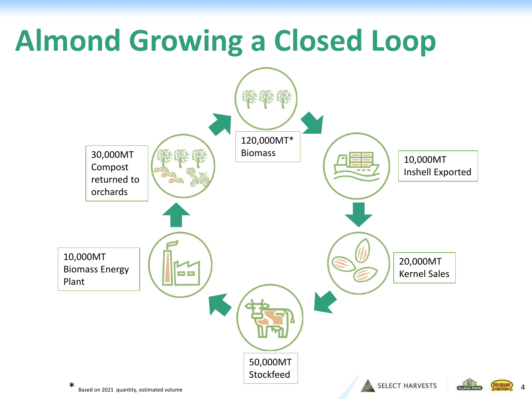## **Almond Growing a Closed Loop**

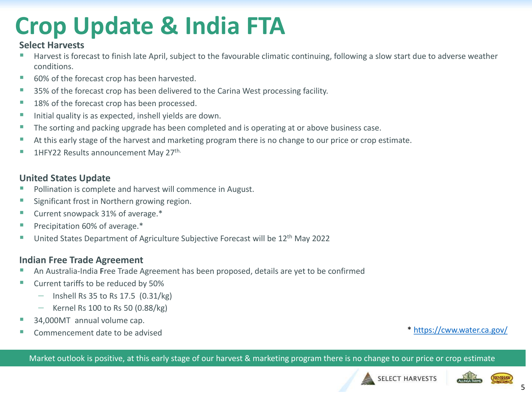### **Crop Update & India FTA**

#### **Select Harvests**

- Harvest is forecast to finish late April, subject to the favourable climatic continuing, following a slow start due to adverse weather conditions.
- 60% of the forecast crop has been harvested.
- 35% of the forecast crop has been delivered to the Carina West processing facility.
- 18% of the forecast crop has been processed.
- Initial quality is as expected, inshell yields are down.
- **The sorting and packing upgrade has been completed and is operating at or above business case.**
- At this early stage of the harvest and marketing program there is no change to our price or crop estimate.
- 1HFY22 Results announcement May 27<sup>th.</sup>

#### **United States Update**

- Pollination is complete and harvest will commence in August.
- Significant frost in Northern growing region.
- Current snowpack 31% of average.<sup>\*</sup>
- Precipitation 60% of average.\*
- **United States Department of Agriculture Subjective Forecast will be 12th May 2022**

#### **Indian Free Trade Agreement**

- An Australia-India **F**ree Trade Agreement has been proposed, details are yet to be confirmed
- Current tariffs to be reduced by 50%
	- − Inshell Rs 35 to Rs 17.5 (0.31/kg)
	- − Kernel Rs 100 to Rs 50 (0.88/kg)
- 34,000MT annual volume cap.
- Example 2011 The commencement date to be advised to the advised to the set of the set of the set of the set of the set of the set of the set of the set of the set of the set of the set of the set of the set of the set of t

Market outlook is positive, at this early stage of our harvest & marketing program there is no change to our price or crop estimate







**RENSHA**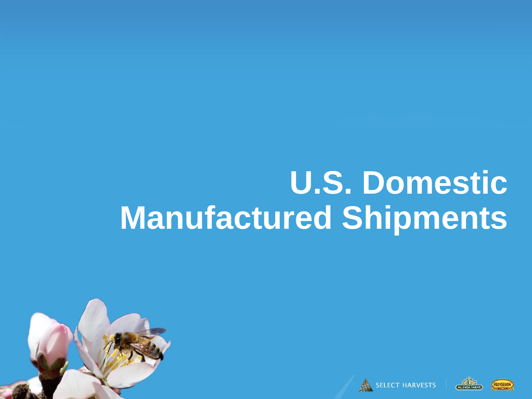## **U.S. Domestic Manufactured Shipments**



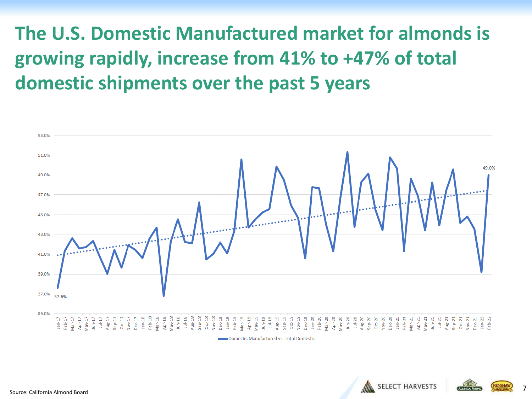**The U.S. Domestic Manufactured market for almonds is growing rapidly, increase from 41% to +47% of total domestic shipments over the past 5 years**





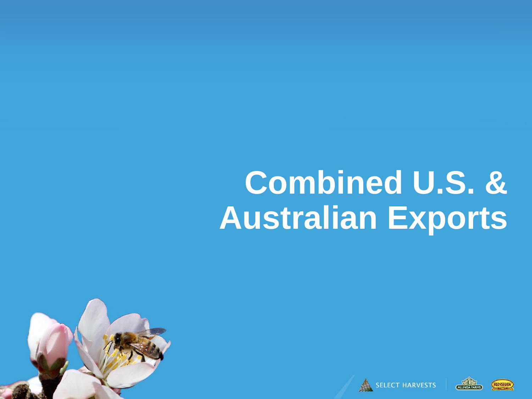# **Combined U.S. & Australian Exports**





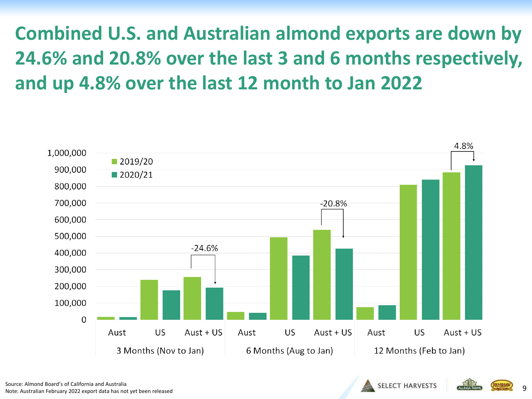**Combined U.S. and Australian almond exports are down by 24.6% and 20.8% over the last 3 and 6 months respectively, and up 4.8% over the last 12 month to Jan 2022**



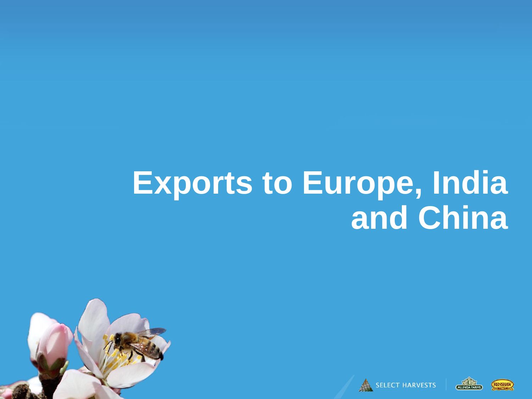## **Exports to Europe, India and China**







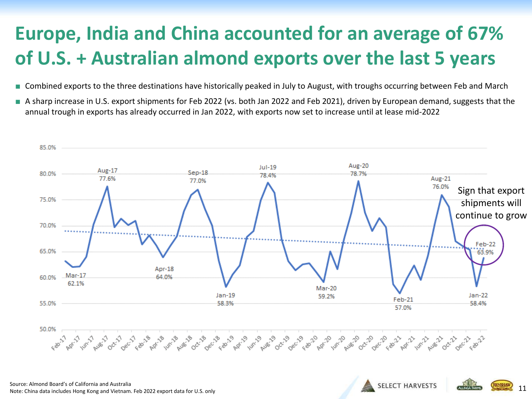### **Europe, India and China accounted for an average of 67% of U.S. + Australian almond exports over the last 5 years**

- Combined exports to the three destinations have historically peaked in July to August, with troughs occurring between Feb and March
- A sharp increase in U.S. export shipments for Feb 2022 (vs. both Jan 2022 and Feb 2021), driven by European demand, suggests that the annual trough in exports has already occurred in Jan 2022, with exports now set to increase until at lease mid-2022



11

**SELECT HARVESTS** 

Source: Almond Board's of California and Australia Note: China data includes Hong Kong and Vietnam. Feb 2022 export data for U.S. only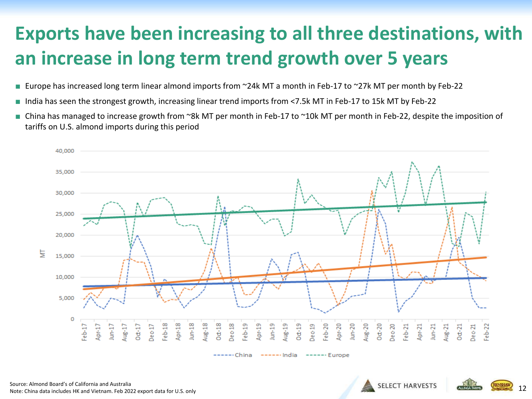#### **Exports have been increasing to all three destinations, with an increase in long term trend growth over 5 years**

- Europe has increased long term linear almond imports from ~24k MT a month in Feb-17 to ~27k MT per month by Feb-22
- India has seen the strongest growth, increasing linear trend imports from <7.5k MT in Feb-17 to 15k MT by Feb-22
- China has managed to increase growth from ~8k MT per month in Feb-17 to ~10k MT per month in Feb-22, despite the imposition of tariffs on U.S. almond imports during this period



Source: Almond Board's of California and Australia Note: China data includes HK and Vietnam. Feb 2022 export data for U.S. only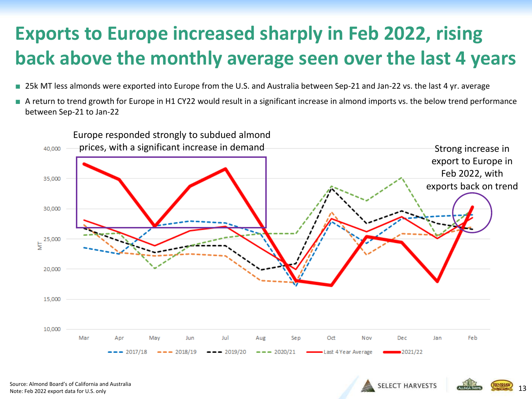### **Exports to Europe increased sharply in Feb 2022, rising back above the monthly average seen over the last 4 years**

- 25k MT less almonds were exported into Europe from the U.S. and Australia between Sep-21 and Jan-22 vs. the last 4 yr. average
- A return to trend growth for Europe in H1 CY22 would result in a significant increase in almond imports vs. the below trend performance between Sep-21 to Jan-22

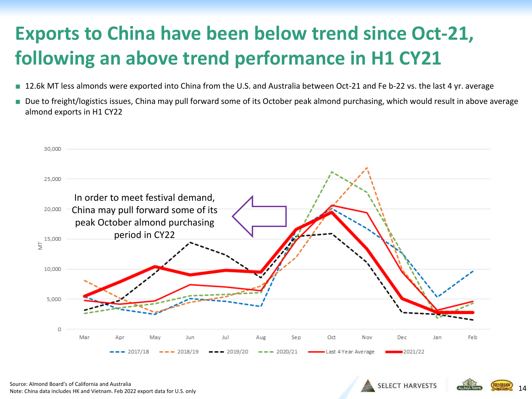### **Exports to China have been below trend since Oct-21, following an above trend performance in H1 CY21**

- 12.6k MT less almonds were exported into China from the U.S. and Australia between Oct-21 and Fe b-22 vs. the last 4 yr. average
- Due to freight/logistics issues, China may pull forward some of its October peak almond purchasing, which would result in above average almond exports in H1 CY22



Source: Almond Board's of California and Australia Note: China data includes HK and Vietnam. Feb 2022 export data for U.S. only